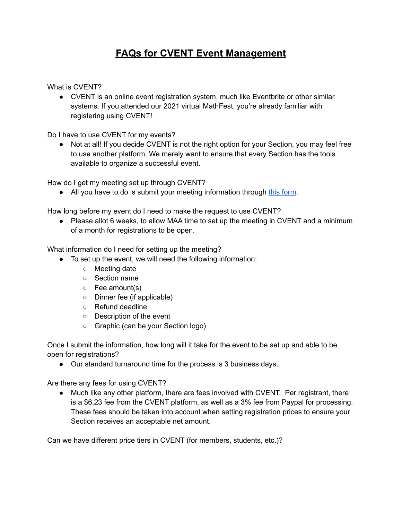## **FAQs for CVENT Event Management**

What is CVENT?

● CVENT is an online event registration system, much like Eventbrite or other similar systems. If you attended our 2021 virtual MathFest, you're already familiar with registering using CVENT!

Do I have to use CVENT for my events?

• Not at all! If you decide CVENT is not the right option for your Section, you may feel free to use another platform. We merely want to ensure that every Section has the tools available to organize a successful event.

How do I get my meeting set up through CVENT?

● All you have to do is submit your meeting information through this [form](https://forms.gle/LUTxWaKoGuzzd6no6).

How long before my event do I need to make the request to use CVENT?

● Please allot 6 weeks, to allow MAA time to set up the meeting in CVENT and a minimum of a month for registrations to be open.

What information do I need for setting up the meeting?

- To set up the event, we will need the following information:
	- Meeting date
	- Section name
	- Fee amount(s)
	- Dinner fee (if applicable)
	- Refund deadline
	- Description of the event
	- Graphic (can be your Section logo)

Once I submit the information, how long will it take for the event to be set up and able to be open for registrations?

● Our standard turnaround time for the process is 3 business days.

Are there any fees for using CVENT?

● Much like any other platform, there are fees involved with CVENT. Per registrant, there is a \$6.23 fee from the CVENT platform, as well as a 3% fee from Paypal for processing. These fees should be taken into account when setting registration prices to ensure your Section receives an acceptable net amount.

Can we have different price tiers in CVENT (for members, students, etc.)?